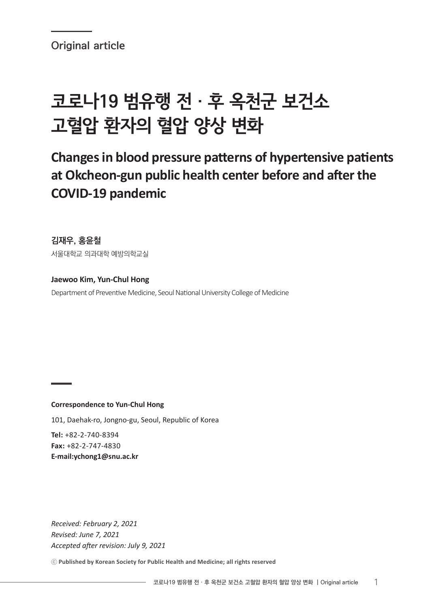Original article

# 코로나19 범유행 전 · 후 옥천군 보건소 고혈압 환자의 혈압 양상 변화

## **Changes in blood pressure patterns of hypertensive patients at Okcheon-gun public health center before and after the COVID-19 pandemic**

김재우, 홍윤철 서울대학교 의과대학 예방의학교실

**Jaewoo Kim, Yun-Chul Hong** Department of Preventive Medicine, Seoul National University College of Medicine

**Correspondence to Yun-Chul Hong**

101, Daehak-ro, Jongno-gu, Seoul, Republic of Korea

**Tel:** +82-2-740-8394 **Fax:** +82-2-747-4830 **E-mail:ychong1@snu.ac.kr**

*Received: February 2, 2021 Revised: June 7, 2021 Accepted after revision: July 9, 2021*

ⓒ **Published by Korean Society for Public Health and Medicine; all rights reserved**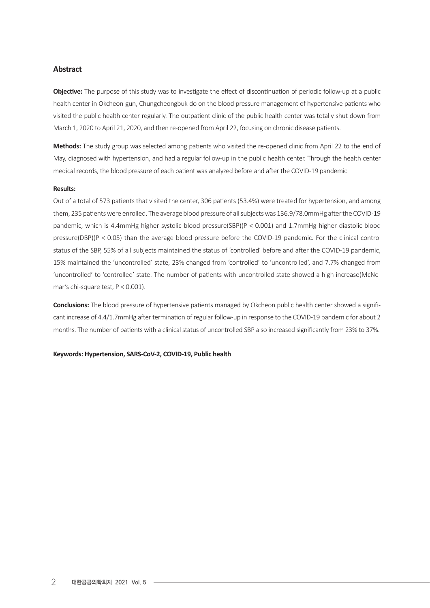#### **Abstract**

**Objective:** The purpose of this study was to investigate the effect of discontinuation of periodic follow-up at a public health center in Okcheon-gun, Chungcheongbuk-do on the blood pressure management of hypertensive patients who visited the public health center regularly. The outpatient clinic of the public health center was totally shut down from March 1, 2020 to April 21, 2020, and then re-opened from April 22, focusing on chronic disease patients.

**Methods:** The study group was selected among patients who visited the re-opened clinic from April 22 to the end of May, diagnosed with hypertension, and had a regular follow-up in the public health center. Through the health center medical records, the blood pressure of each patient was analyzed before and after the COVID-19 pandemic

#### **Results:**

Out of a total of 573 patients that visited the center, 306 patients (53.4%) were treated for hypertension, and among them, 235 patients were enrolled. The average blood pressure of all subjects was 136.9/78.0mmHg after the COVID-19 pandemic, which is 4.4mmHg higher systolic blood pressure(SBP)(P < 0.001) and 1.7mmHg higher diastolic blood pressure(DBP)(P < 0.05) than the average blood pressure before the COVID-19 pandemic. For the clinical control status of the SBP, 55% of all subjects maintained the status of 'controlled' before and after the COVID-19 pandemic, 15% maintained the 'uncontrolled' state, 23% changed from 'controlled' to 'uncontrolled', and 7.7% changed from 'uncontrolled' to 'controlled' state. The number of patients with uncontrolled state showed a high increase(McNemar's chi-square test, P < 0.001).

**Conclusions:** The blood pressure of hypertensive patients managed by Okcheon public health center showed a significant increase of 4.4/1.7mmHg after termination of regular follow-up in response to the COVID-19 pandemic for about 2 months. The number of patients with a clinical status of uncontrolled SBP also increased significantly from 23% to 37%.

**Keywords: Hypertension, SARS-CoV-2, COVID-19, Public health**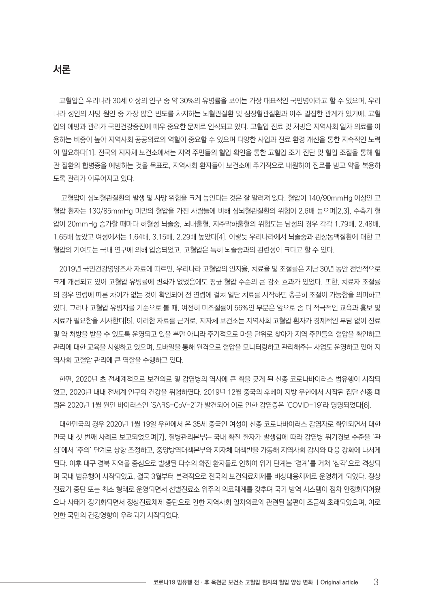## 서론

고혈압은 우리나라 30세 이상의 인구 중 약 30%의 유병률을 보이는 가장 대표적인 국민병이라고 할 수 있으며, 우리 나라 성인의 사망 원인 중 가장 많은 빈도를 차지하는 뇌혈관질환 및 심장혈관질환과 아주 밀접한 관계가 있기에, 고혈 압의 예방과 관리가 국민건강증진에 매우 중요한 문제로 인식되고 있다. 고혈압 진료 및 처방은 지역사회 일차 의료를 이 용하는 비중이 높아 지역사회 공공의료의 역할이 중요할 수 있으며 다양한 사업과 진료 환경 개선을 통한 지속적인 노력 이 필요하다[1]. 전국의 지자체 보건소에서는 지역 주민들의 혈압 확인을 통한 고혈압 조기 진단 및 혈압 조절을 통해 혈 관 질환의 합병증을 예방하는 것을 목표로, 지역사회 환자들이 보건소에 주기적으로 내원하여 진료를 받고 약을 복용하 도록 관리가 이루어지고 있다.

 고혈압이 심뇌혈관질환의 발생 및 사망 위험을 크게 높인다는 것은 잘 알려져 있다. 혈압이 140/90mmHg 이상인 고 혈압 환자는 130/85mmHg 미만의 혈압을 가진 사람들에 비해 심뇌혈관질환의 위험이 2.6배 높으며[2,3], 수축기 혈 압이 20mmHg 증가할 때마다 허혈성 뇌졸중, 뇌내출혈, 지주막하출혈의 위험도는 남성의 경우 각각 1.79배, 2.48배, 1.65배 높았고 여성에서는 1.64배, 3.15배, 2.29배 높았다[4]. 이렇듯 우리나라에서 뇌졸중과 관상동맥질환에 대한 고 혈압의 기여도는 국내 연구에 의해 입증되었고, 고혈압은 특히 뇌졸중과의 관련성이 크다고 할 수 있다.

2019년 국민건강영양조사 자료에 따르면, 우리나라 고혈압의 인지율, 치료율 및 조절률은 지난 30년 동안 전반적으로 크게 개선되고 있어 고혈압 유병률에 변화가 없었음에도 평균 혈압 수준의 큰 감소 효과가 있었다. 또한, 치료자 조절률 의 경우 연령에 따른 차이가 없는 것이 확인되어 전 연령에 걸쳐 일단 치료를 시작하면 충분히 조절이 가능함을 의미하고 있다. 그러나 고혈압 유병자를 기준으로 볼 때, 여전히 미조절률이 56%인 부분은 앞으로 좀 더 적극적인 교육과 홍보 및 치료가 필요함을 시사한다[5]. 이러한 자료를 근거로, 지자체 보건소는 지역사회 고혈압 환자가 경제적인 부담 없이 진료 및 약 처방을 받을 수 있도록 운영되고 있을 뿐만 아니라 주기적으로 마을 단위로 찾아가 지역 주민들의 혈압을 확인하고 관리에 대한 교육을 시행하고 있으며, 모바일을 통해 원격으로 혈압을 모니터링하고 관리해주는 사업도 운영하고 있어 지 역사회 고혈압 관리에 큰 역할을 수행하고 있다.

한편, 2020년 초 전세계적으로 보건의료 및 감염병의 역사에 큰 획을 긋게 된 신종 코로나바이러스 범유행이 시작되 었고, 2020년 내내 전세계 인구의 건강을 위협하였다. 2019년 12월 중국의 후베이 지방 우한에서 시작된 집단 신종 폐 렴은 2020년 1월 원인 바이러스인 'SARS-CoV-2'가 발견되어 이로 인한 감염증은 'COVID-19'라 명명되었다[6].

대한민국의 경우 2020년 1월 19일 우한에서 온 35세 중국인 여성이 신종 코로나바이러스 감염자로 확인되면서 대한 민국 내 첫 번째 사례로 보고되었으며[7], 질병관리본부는 국내 확진 환자가 발생함에 따라 감염병 위기경보 수준을 '관 심'에서 '주의' 단계로 상향 조정하고, 중앙방역대책본부와 지자체 대책반을 가동해 지역사회 감시와 대응 강화에 나서게 된다. 이후 대구 경북 지역을 중심으로 발생된 다수의 확진 환자들로 인하여 위기 단계는 '경계'를 거쳐 '심각'으로 격상되 며 국내 범유행이 시작되었고, 결국 3월부터 본격적으로 전국의 보건의료체제를 비상대응체제로 운영하게 되었다. 정상 진료가 중단 또는 최소 형태로 운영되면서 선별진료소 위주의 의료체계를 갖추며 국가 방역 시스템이 점차 안정화되어왔 으나 사태가 장기화되면서 정상진료체제 중단으로 인한 지역사회 일차의료와 관련된 불편이 조금씩 초래되었으며, 이로 인한 국민의 건강영향이 우려되기 시작되었다.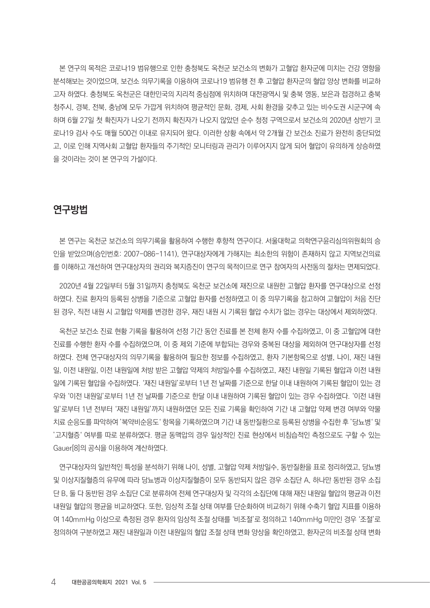본 연구의 목적은 코로나19 범유행으로 인한 충청북도 옥천군 보건소의 변화가 고혈압 환자군에 미치는 건강 영향을 분석해보는 것이었으며, 보건소 의무기록을 이용하여 코로나19 범유행 전 후 고혈압 환자군의 혈압 양상 변화를 비교하 고자 하였다. 충청북도 옥천군은 대한민국의 지리적 중심점에 위치하며 대전광역시 및 충북 영동, 보은과 접경하고 충북 청주시, 경북, 전북, 충남에 모두 가깝게 위치하여 평균적인 문화, 경제, 사회 환경을 갖추고 있는 비수도권 시군구에 속 하며 6월 27일 첫 확진자가 나오기 전까지 확진자가 나오지 않았던 순수 청정 구역으로서 보건소의 2020년 상반기 코 로나19 검사 수도 매월 500건 이내로 유지되어 왔다. 이러한 상황 속에서 약 2개월 간 보건소 진료가 완전히 중단되었 고, 이로 인해 지역사회 고혈압 환자들의 주기적인 모니터링과 관리가 이루어지지 않게 되어 혈압이 유의하게 상승하였 을 것이라는 것이 본 연구의 가설이다.

## 연구방법

본 연구는 옥천군 보건소의 의무기록을 활용하여 수행한 후향적 연구이다. 서울대학교 의학연구윤리심의위원회의 승 인을 받았으며(승인번호: 2007-086-1141), 연구대상자에게 가해지는 최소한의 위험이 존재하지 않고 지역보건의료 를 이해하고 개선하여 연구대상자의 권리와 복지증진이 연구의 목적이므로 연구 참여자의 사전동의 절차는 면제되었다.

2020년 4월 22일부터 5월 31일까지 충청북도 옥천군 보건소에 재진으로 내원한 고혈압 환자를 연구대상으로 선정 하였다. 진료 환자의 등록된 상병을 기준으로 고혈압 환자를 선정하였고 이 중 의무기록을 참고하여 고혈압이 처음 진단 된 경우, 직전 내원 시 고혈압 약제를 변경한 경우, 재진 내원 시 기록된 혈압 수치가 없는 경우는 대상에서 제외하였다.

옥천군 보건소 진료 현황 기록을 활용하여 선정 기간 동안 진료를 본 전체 환자 수를 수집하였고, 이 중 고혈압에 대한 진료를 수행한 환자 수를 수집하였으며, 이 중 제외 기준에 부합되는 경우와 중복된 대상을 제외하여 연구대상자를 선정 하였다. 전체 연구대상자의 의무기록을 활용하여 필요한 정보를 수집하였고, 환자 기본항목으로 성별, 나이, 재진 내원 일, 이전 내원일, 이전 내원일에 처방 받은 고혈압 약제의 처방일수를 수집하였고, 재진 내원일 기록된 혈압과 이전 내원 일에 기록된 혈압을 수집하였다. '재진 내원일'로부터 1년 전 날짜를 기준으로 한달 이내 내원하여 기록된 혈압이 있는 경 우와 '이전 내원일'로부터 1년 전 날짜를 기준으로 한달 이내 내원하여 기록된 혈압이 있는 경우 수집하였다. '이전 내원 일'로부터 1년 전부터 '재진 내원일'까지 내원하였던 모든 진료 기록을 확인하여 기간 내 고혈압 약제 변경 여부와 약물 치료 순응도를 파악하여 '복약비순응도' 항목을 기록하였으며 기간 내 동반질환으로 등록된 상병을 수집한 후 '당뇨병' 및 '고지혈증' 여부를 따로 분류하였다. 평균 동맥압의 경우 일상적인 진료 현상에서 비침습적인 측정으로도 구할 수 있는 Gauer[8]의 공식을 이용하여 계산하였다.

연구대상자의 일반적인 특성을 분석하기 위해 나이, 성별, 고혈압 약제 처방일수, 동반질환을 표로 정리하였고, 당뇨병 및 이상지질혈증의 유무에 따라 당뇨병과 이상지질혈증이 모두 동반되지 않은 경우 소집단 A, 하나만 동반된 경우 소집 단 B, 둘 다 동반된 경우 소집단 C로 분류하여 전체 연구대상자 및 각각의 소집단에 대해 재진 내원일 혈압의 평균과 이전 내원일 혈압의 평균을 비교하였다. 또한, 임상적 조절 상태 여부를 단순화하여 비교하기 위해 수축기 혈압 지표를 이용하 여 140mmHg 이상으로 측정된 경우 환자의 임상적 조절 상태를 '비조절'로 정의하고 140mmHg 미만인 경우 '조절'로 정의하여 구분하였고 재진 내원일과 이전 내원일의 혈압 조절 상태 변화 양상을 확인하였고, 환자군의 비조절 상태 변화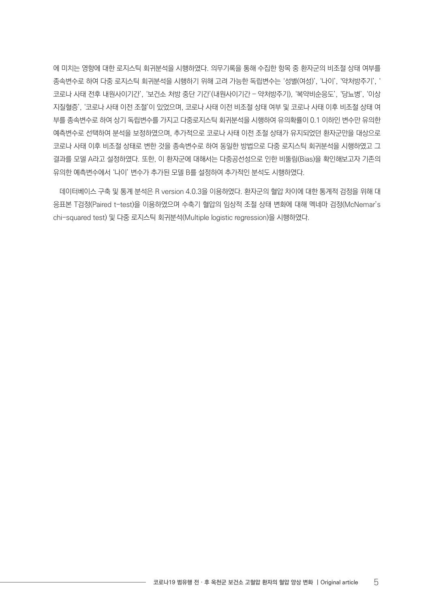에 미치는 영향에 대한 로지스틱 회귀분석을 시행하였다. 의무기록을 통해 수집한 항목 중 환자군의 비조절 상태 여부를 종속변수로 하여 다중 로지스틱 회귀분석을 시행하기 위해 고려 가능한 독립변수는 '성별(여성)', '나이', '약처방주기', ' 코로나 사태 전후 내원사이기간', '보건소 처방 중단 기간'(내원사이기간 – 약처방주기), '복약비순응도', '당뇨병', '이상 지질혈증', '코로나 사태 이전 조절'이 있었으며, 코로나 사태 이전 비조절 상태 여부 및 코로나 사태 이후 비조절 상태 여 부를 종속변수로 하여 상기 독립변수를 가지고 다중로지스틱 회귀분석을 시행하여 유의확률이 0.1 이하인 변수만 유의한 예측변수로 선택하여 분석을 보정하였으며, 추가적으로 코로나 사태 이전 조절 상태가 유지되었던 환자군만을 대상으로 코로나 사태 이후 비조절 상태로 변한 것을 종속변수로 하여 동일한 방법으로 다중 로지스틱 회귀분석을 시행하였고 그 결과를 모델 A라고 설정하였다. 또한, 이 환자군에 대해서는 다중공선성으로 인한 비뚤림(Bias)을 확인해보고자 기존의 유의한 예측변수에서 '나이' 변수가 추가된 모델 B를 설정하여 추가적인 분석도 시행하였다.

데이터베이스 구축 및 통계 분석은 R version 4.0.3을 이용하였다. 환자군의 혈압 차이에 대한 통계적 검정을 위해 대 응표본 T검정(Paired t-test)을 이용하였으며 수축기 혈압의 임상적 조절 상태 변화에 대해 멕네마 검정(McNemar's chi-squared test) 및 다중 로지스틱 회귀분석(Multiple logistic regression)을 시행하였다.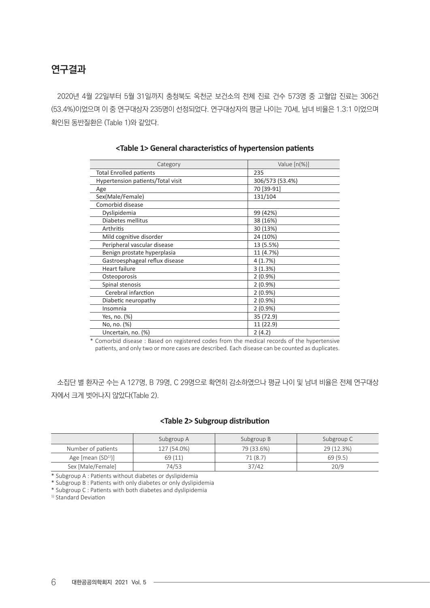## 연구결과

2020년 4월 22일부터 5월 31일까지 충청북도 옥천군 보건소의 전체 진료 건수 573명 중 고혈압 진료는 306건 (53.4%)이었으며 이 중 연구대상자 235명이 선정되었다. 연구대상자의 평균 나이는 70세, 남녀 비율은 1.3:1 이었으며 확인된 동반질환은 (Table 1)와 같았다.

| Category                          | Value $[n(\%)]$ |
|-----------------------------------|-----------------|
| <b>Total Enrolled patients</b>    | 235             |
| Hypertension patients/Total visit | 306/573 (53.4%) |
| Age                               | 70 [39-91]      |
| Sex(Male/Female)                  | 131/104         |
| Comorbid disease                  |                 |
| Dyslipidemia                      | 99 (42%)        |
| Diabetes mellitus                 | 38 (16%)        |
| Arthritis                         | 30 (13%)        |
| Mild cognitive disorder           | 24 (10%)        |
| Peripheral vascular disease       | 13 (5.5%)       |
| Benign prostate hyperplasia       | 11 (4.7%)       |
| Gastroesphageal reflux disease    | 4(1.7%)         |
| Heart failure                     | 3(1.3%)         |
| Osteoporosis                      | $2(0.9\%)$      |
| Spinal stenosis                   | $2(0.9\%)$      |
| Cerebral infarction               | $2(0.9\%)$      |
| Diabetic neuropathy               | $2(0.9\%)$      |
| Insomnia                          | $2(0.9\%)$      |
| Yes, no. (%)                      | 35 (72.9)       |
| No, no. (%)                       | 11 (22.9)       |
| Uncertain, no. (%)                | 2(4.2)          |

#### **<Table 1> General characteristics of hypertension patients**

\* Comorbid disease : Based on registered codes from the medical records of the hypertensive patients, and only two or more cases are described. Each disease can be counted as duplicates.

소집단 별 환자군 수는 A 127명, B 79명, C 29명으로 확연히 감소하였으나 평균 나이 및 남녀 비율은 전체 연구대상 자에서 크게 벗어나지 않았다(Table 2).

## **<Table 2> Subgroup distribution**

|                    | Subgroup A  | Subgroup B | Subgroup C |
|--------------------|-------------|------------|------------|
| Number of patients | 127 (54.0%) | 79 (33.6%) | 29 (12.3%) |
| Age $[mean (SD1)]$ | 69 (11)     | 71 (8.7)   | 69(9.5)    |
| Sex [Male/Female]  | 74/53       | 37/42      | 20/9       |

\* Subgroup A : Patients without diabetes or dyslipidemia

\* Subgroup B : Patients with only diabetes or only dyslipidemia

\* Subgroup C : Patients with both diabetes and dyslipidemia

<sup>1)</sup> Standard Deviation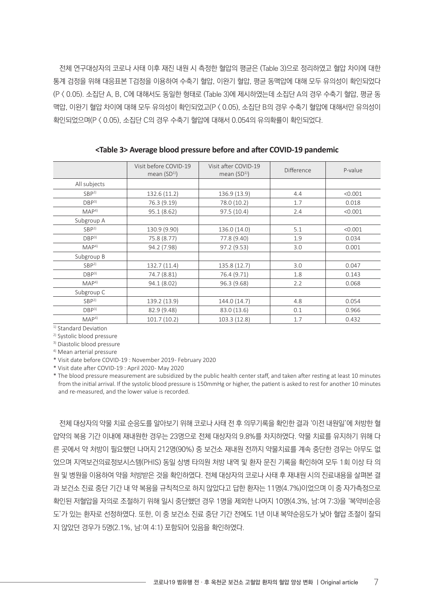전체 연구대상자의 코로나 사태 이후 재진 내원 시 측정한 혈압의 평균은 (Table 3)으로 정리하였고 혈압 차이에 대한 통계 검정을 위해 대응표본 T검정을 이용하여 수축기 혈압, 이완기 혈압, 평균 동맥압에 대해 모두 유의성이 확인되었다 (P < 0.05). 소집단 A, B, C에 대해서도 동일한 형태로 (Table 3)에 제시하였는데 소집단 A의 경우 수축기 혈압, 평균 동 맥압, 이완기 혈압 차이에 대해 모두 유의성이 확인되었고(P < 0.05), 소집단 B의 경우 수축기 혈압에 대해서만 유의성이 확인되었으며(P < 0.05), 소집단 C의 경우 수축기 혈압에 대해서 0.054의 유의확률이 확인되었다.

|                  | Visit before COVID-19<br>mean $(SD1)$ | Visit after COVID-19<br>mean $(SD1)$ | Difference | P-value |
|------------------|---------------------------------------|--------------------------------------|------------|---------|
| All subjects     |                                       |                                      |            |         |
| SBP <sup>2</sup> | 132.6 (11.2)                          | 136.9 (13.9)                         | 4.4        | < 0.001 |
| DBP <sup>3</sup> | 76.3 (9.19)                           | 78.0 (10.2)                          | 1.7        | 0.018   |
| MAP <sup>4</sup> | 95.1(8.62)                            | 97.5 (10.4)                          | 2.4        | < 0.001 |
| Subgroup A       |                                       |                                      |            |         |
| SBP <sup>2</sup> | 130.9 (9.90)                          | 136.0 (14.0)                         | 5.1        | < 0.001 |
| DBP <sup>3</sup> | 75.8 (8.77)                           | 77.8 (9.40)                          | 1.9        | 0.034   |
| MAP <sup>4</sup> | 94.2 (7.98)                           | 97.2 (9.53)                          | 3.0        | 0.001   |
| Subgroup B       |                                       |                                      |            |         |
| SBP <sup>2</sup> | 132.7 (11.4)                          | 135.8 (12.7)                         | 3.0        | 0.047   |
| DBP <sup>3</sup> | 74.7 (8.81)                           | 76.4 (9.71)                          | 1.8        | 0.143   |
| MAP <sup>4</sup> | 94.1 (8.02)                           | 96.3 (9.68)                          | 2.2        | 0.068   |
| Subgroup C       |                                       |                                      |            |         |
| SBP <sup>2</sup> | 139.2 (13.9)                          | 144.0 (14.7)                         | 4.8        | 0.054   |
| DBP <sup>3</sup> | 82.9 (9.48)                           | 83.0 (13.6)                          | 0.1        | 0.966   |
| MAP <sup>4</sup> | 101.7 (10.2)                          | 103.3 (12.8)                         | 1.7        | 0.432   |

**<Table 3> Average blood pressure before and after COVID-19 pandemic**

<sup>1)</sup> Standard Deviation

2) Systolic blood pressure

3) Diastolic blood pressure

4) Mean arterial pressure

\* Visit date before COVID-19 : November 2019 - February 2020

\* Visit date after COVID-19 : April 2020 - May 2020

\* The blood pressure measurement are subsidized by the public health center staff, and taken after resting at least 10 minutes from the initial arrival. If the systolic blood pressure is 150mmHg or higher, the patient is asked to rest for another 10 minutes and re-measured, and the lower value is recorded.

전체 대상자의 약물 치료 순응도를 알아보기 위해 코로나 사태 전 후 의무기록을 확인한 결과 '이전 내원일'에 처방한 혈 압약의 복용 기간 이내에 재내원한 경우는 23명으로 전체 대상자의 9.8%를 차지하였다. 약물 치료를 유지하기 위해 다 른 곳에서 약 처방이 필요했던 나머지 212명(90%) 중 보건소 재내원 전까지 약물치료를 계속 중단한 경우는 아무도 없 었으며 지역보건의료정보시스템(PHIS) 동일 상병 타의원 처방 내역 및 환자 문진 기록을 확인하여 모두 1회 이상 타 의 원 및 병원을 이용하여 약을 처방받은 것을 확인하였다. 전체 대상자의 코로나 사태 후 재내원 시의 진료내용을 살펴본 결 과 보건소 진료 중단 기간 내 약 복용을 규칙적으로 하지 않았다고 답한 환자는 11명(4.7%)이었으며 이 중 자가측정으로 확인된 저혈압을 자의로 조절하기 위해 일시 중단했던 경우 1명을 제외한 나머지 10명(4.3%, 남:여 7:3)을 '복약비순응 도'가 있는 환자로 선정하였다. 또한, 이 중 보건소 진료 중단 기간 전에도 1년 이내 복약순응도가 낮아 혈압 조절이 잘되 지 않았던 경우가 5명(2.1%, 남:여 4:1) 포함되어 있음을 확인하였다.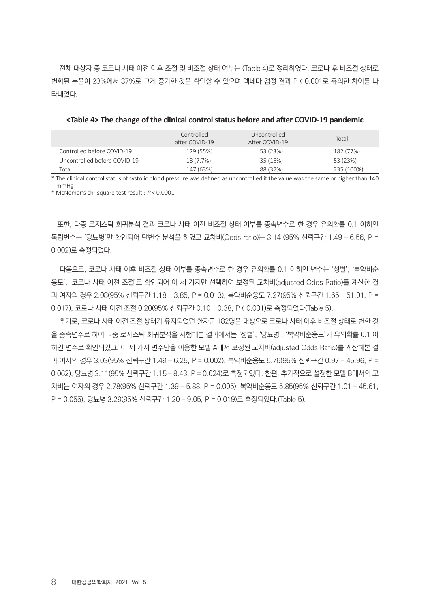전체 대상자 중 코로나 사태 이전 이후 조절 및 비조절 상태 여부는 (Table 4)로 정리하였다. 코로나 후 비조절 상태로 변화된 분율이 23%에서 37%로 크게 증가한 것을 확인할 수 있으며 멕네마 검정 결과 P < 0.001로 유의한 차이를 나 타내었다.

|                              | Controlled<br>after COVID-19 | Uncontrolled<br>After COVID-19 | Total      |
|------------------------------|------------------------------|--------------------------------|------------|
| Controlled before COVID-19   | 129 (55%)                    | 53 (23%)                       | 182 (77%)  |
| Uncontrolled before COVID-19 | 18 (7.7%)                    | 35 (15%)                       | 53 (23%)   |
| Total                        | 147 (63%)                    | 88 (37%)                       | 235 (100%) |

| <table 4=""> The change of the clinical control status before and after COVID-19 pandemic</table> |  |  |
|---------------------------------------------------------------------------------------------------|--|--|
|---------------------------------------------------------------------------------------------------|--|--|

\* The clinical control status of systolic blood pressure was defined as uncontrolled if the value was the same or higher than 140 mmHg

\* McNemar's chi-square test result : P < 0.0001

또한, 다중 로지스틱 회귀분석 결과 코로나 사태 이전 비조절 상태 여부를 종속변수로 한 경우 유의확률 0.1 이하인 독립변수는 '당뇨병'만 확인되어 단변수 분석을 하였고 교차비(Odds ratio)는 3.14 (95% 신뢰구간 1.49 – 6.56, P = 0.002)로 측정되었다.

 다음으로, 코로나 사태 이후 비조절 상태 여부를 종속변수로 한 경우 유의확률 0.1 이하인 변수는 '성별', '복약비순 응도', '코로나 사태 이전 조절'로 확인되어 이 세 가지만 선택하여 보정된 교차비(adjusted Odds Ratio)를 계산한 결 과 여자의 경우 2.08(95% 신뢰구간 1.18 – 3.85, P = 0.013), 복약비순응도 7.27(95% 신뢰구간 1.65 – 51.01, P = 0.017), 코로나 사태 이전 조절 0.20(95% 신뢰구간 0.10 – 0.38, P < 0.001)로 측정되었다(Table 5).

 추가로, 코로나 사태 이전 조절 상태가 유지되었던 환자군 182명을 대상으로 코로나 사태 이후 비조절 상태로 변한 것 을 종속변수로 하여 다중 로지스틱 회귀분석을 시행해본 결과에서는 '성별', '당뇨병', '복약비순응도'가 유의확률 0.1 이 하인 변수로 확인되었고, 이 세 가지 변수만을 이용한 모델 A에서 보정된 교차비(adjusted Odds Ratio)를 계산해본 결 과 여자의 경우 3.03(95% 신뢰구간 1.49 – 6.25, P = 0.002), 복약비순응도 5.76(95% 신뢰구간 0.97 – 45.96, P = 0.062), 당뇨병 3.11(95% 신뢰구간 1.15 – 8.43, P = 0.024)로 측정되었다. 한편, 추가적으로 설정한 모델 B에서의 교 차비는 여자의 경우 2.78(95% 신뢰구간 1.39 – 5.88, P = 0.005), 복약비순응도 5.85(95% 신뢰구간 1.01 – 45.61, P = 0.055), 당뇨병 3.29(95% 신뢰구간 1.20 – 9.05, P = 0.019)로 측정되었다.(Table 5).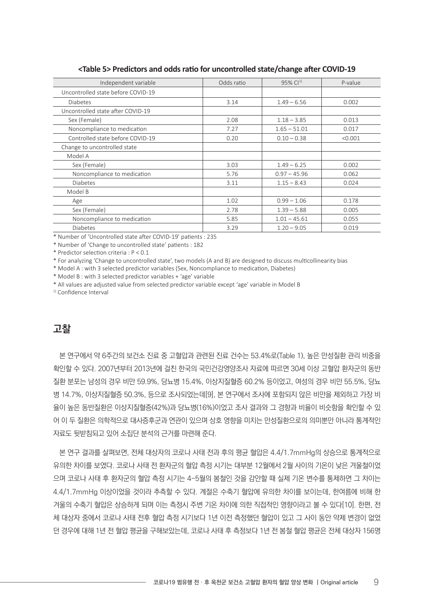| Independent variable               | Odds ratio | $95\%$ Cl <sup>1)</sup> | P-value |
|------------------------------------|------------|-------------------------|---------|
| Uncontrolled state before COVID-19 |            |                         |         |
| <b>Diabetes</b>                    | 3.14       | $1.49 - 6.56$           | 0.002   |
| Uncontrolled state after COVID-19  |            |                         |         |
| Sex (Female)                       | 2.08       | $1.18 - 3.85$           | 0.013   |
| Noncompliance to medication        | 7.27       | $1.65 - 51.01$          | 0.017   |
| Controlled state before COVID-19   | 0.20       | $0.10 - 0.38$           | < 0.001 |
| Change to uncontrolled state       |            |                         |         |
| Model A                            |            |                         |         |
| Sex (Female)                       | 3.03       | $1.49 - 6.25$           | 0.002   |
| Noncompliance to medication        | 5.76       | $0.97 - 45.96$          | 0.062   |
| <b>Diabetes</b>                    | 3.11       | $1.15 - 8.43$           | 0.024   |
| Model B                            |            |                         |         |
| Age                                | 1.02       | $0.99 - 1.06$           | 0.178   |
| Sex (Female)                       | 2.78       | $1.39 - 5.88$           | 0.005   |
| Noncompliance to medication        | 5.85       | $1.01 - 45.61$          | 0.055   |
| Diabetes                           | 3.29       | $1.20 - 9.05$           | 0.019   |

### **<Table 5> Predictors and odds ratio for uncontrolled state/change after COVID-19**

\* Number of 'Uncontrolled state after COVID-19' patients : 235

\* Number of 'Change to uncontrolled state' patients : 182

\* Predictor selection criteria : P < 0.1

\* For analyzing 'Change to uncontrolled state', two models (A and B) are designed to discuss multicollinearity bias

\* Model A : with 3 selected predictor variables (Sex, Noncompliance to medication, Diabetes)

\* Model B : with 3 selected predictor variables + 'age' variable

\* All values are adjusted value from selected predictor variable except 'age' variable in Model B

<sup>1)</sup> Confidence Interval

## 고찰

본 연구에서 약 6주간의 보건소 진료 중 고혈압과 관련된 진료 건수는 53.4%로(Table 1), 높은 만성질환 관리 비중을 확인할 수 있다. 2007년부터 2013년에 걸친 한국의 국민건강영양조사 자료에 따르면 30세 이상 고혈압 환자군의 동반 질환 분포는 남성의 경우 비만 59.9%, 당뇨병 15.4%, 이상지질혈증 60.2% 등이었고, 여성의 경우 비만 55.5%, 당뇨 병 14.7%, 이상지질혈증 50.3%, 등으로 조사되었는데[9], 본 연구에서 조사에 포함되지 않은 비만을 제외하고 가장 비 율이 높은 동반질환은 이상지질혈증(42%)과 당뇨병(16%)이었고 조사 결과와 그 경향과 비율이 비슷함을 확인할 수 있 어 이 두 질환은 의학적으로 대사증후군과 연관이 있으며 상호 영향을 미치는 만성질환으로의 의미뿐만 아니라 통계적인 자료도 뒷받침되고 있어 소집단 분석의 근거를 마련해 준다.

본 연구 결과를 살펴보면, 전체 대상자의 코로나 사태 전과 후의 평균 혈압은 4.4/1.7mmHg의 상승으로 통계적으로 유의한 차이를 보였다. 코로나 사태 전 환자군의 혈압 측정 시기는 대부분 12월에서 2월 사이의 기온이 낮은 겨울철이었 으며 코로나 사태 후 환자군의 혈압 측정 시기는 4-5월의 봄철인 것을 감안할 때 실제 기온 변수를 통제하면 그 차이는 4.4/1.7mmHg 이상이었을 것이라 추측할 수 있다. 계절은 수축기 혈압에 유의한 차이를 보이는데, 한여름에 비해 한 겨울의 수축기 혈압은 상승하게 되며 이는 측정시 주변 기온 차이에 의한 직접적인 영향이라고 볼 수 있다[10]. 한편, 전 체 대상자 중에서 코로나 사태 전후 혈압 측정 시기보다 1년 이전 측정했던 혈압이 있고 그 사이 동안 약제 변경이 없었 던 경우에 대해 1년 전 혈압 평균을 구해보았는데, 코로나 사태 후 측정보다 1년 전 봄철 혈압 평균은 전체 대상자 156명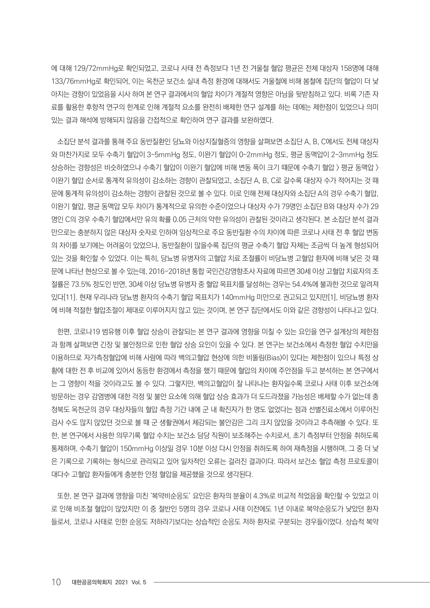에 대해 129/72mmHg로 확인되었고, 코로나 사태 전 측정보다 1년 전 겨울철 혈압 평균은 전체 대상자 158명에 대해 133/76mmHg로 확인되어, 이는 옥천군 보건소 실내 측정 환경에 대해서도 겨울철에 비해 봄철에 집단의 혈압이 더 낮 아지는 경향이 있었음을 시사 하여 본 연구 결과에서의 혈압 차이가 계절적 영향은 아님을 뒷받침하고 있다. 비록 기존 자 료를 활용한 후향적 연구의 한계로 인해 계절적 요소를 완전히 배제한 연구 설계를 하는 데에는 제한점이 있었으나 의미 있는 결과 해석에 방해되지 않음을 간접적으로 확인하여 연구 결과를 보완하였다.

소집단 분석 결과를 통해 주요 동반질환인 당뇨와 이상지질혈증의 영향을 살펴보면 소집단 A, B, C에서도 전체 대상자 와 마찬가지로 모두 수축기 혈압이 3~5mmHg 정도, 이완기 혈압이 0~2mmHg 정도, 평균 동맥압이 2~3mmHg 정도 상승하는 경향성은 비슷하였으나 수축기 혈압이 이완기 혈압에 비해 변동 폭이 크기 떄문에 수축기 혈압 > 평균 동맥압 > 이완기 혈압 순서로 통계적 유의성이 감소하는 경향이 관찰되었고, 소집단 A, B, C로 갈수록 대상자 수가 적어지는 것 때 문에 통계적 유의성이 감소하는 경향이 관찰된 것으로 볼 수 있다. 이로 인해 전체 대상자와 소집단 A의 경우 수축기 혈압, 이완기 혈압, 평균 동맥압 모두 차이가 통계적으로 유의한 수준이었으나 대상자 수가 79명인 소집단 B와 대상자 수가 29 명인 C의 경우 수축기 혈압에서만 유의 확률 0.05 근처의 약한 유의성이 관찰된 것이라고 생각된다. 본 소집단 분석 결과 만으로는 충분하지 않은 대상자 숫자로 인하여 임상적으로 주요 동반질환 수의 차이에 따른 코로나 사태 전 후 혈압 변동 의 차이를 보기에는 어려움이 있었으나, 동반질환이 많을수록 집단의 평균 수축기 혈압 자체는 조금씩 더 높게 형성되어 있는 것을 확인할 수 있었다. 이는 특히, 당뇨병 유병자의 고혈압 치료 조절률이 비당뇨병 고혈압 환자에 비해 낮은 것 때 문에 나타난 현상으로 볼 수 있는데, 2016-2018년 통합 국민건강영향조사 자료에 따르면 30세 이상 고혈압 치료자의 조 절률은 73.5% 정도인 반면, 30세 이상 당뇨병 유병자 중 혈압 목표치를 달성하는 경우는 54.4%에 불과한 것으로 알려져 있다[11]. 현재 우리나라 당뇨병 환자의 수축기 혈압 목표치가 140mmHg 미만으로 권고되고 있지만[1], 비당뇨병 환자 에 비해 적절한 혈압조절이 제대로 이루어지지 않고 있는 것이며, 본 연구 집단에서도 이와 같은 경향성이 나타나고 있다.

한편, 코로나19 범유행 이후 혈압 상승이 관찰되는 본 연구 결과에 영향을 미칠 수 있는 요인을 연구 설계상의 제한점 과 함께 살펴보면 긴장 및 불안정으로 인한 혈압 상승 요인이 있을 수 있다. 본 연구는 보건소에서 측정한 혈압 수치만을 이용하므로 자가측정혈압에 비해 사람에 따라 백의고혈압 현상에 의한 비뚤림(Bias)이 있다는 제한점이 있으나 특정 상 황에 대한 전 후 비교에 있어서 동등한 환경에서 측정을 했기 때문에 혈압의 차이에 주안점을 두고 분석하는 본 연구에서 는 그 영향이 적을 것이라고도 볼 수 있다. 그렇지만, 백의고혈압이 잘 나타나는 환자일수록 코로나 사태 이후 보건소에 방문하는 경우 감염병에 대한 걱정 및 불안 요소에 의해 혈압 상승 효과가 더 도드라졌을 가능성은 배제할 수가 없는데 충 청북도 옥천군의 경우 대상자들의 혈압 측정 기간 내에 군 내 확진자가 한 명도 없었다는 점과 선별진료소에서 이루어진 검사 수도 많지 않았던 것으로 볼 때 군 생활권에서 체감되는 불안감은 그리 크지 않았을 것이라고 추측해볼 수 있다. 또 한, 본 연구에서 사용한 의무기록 혈압 수치는 보건소 담당 직원이 보조해주는 수치로서, 초기 측정부터 안정을 취하도록 통제하며, 수축기 혈압이 150mmHg 이상일 경우 10분 이상 다시 안정을 취하도록 하여 재측정을 시행하며, 그 중 더 낮 은 기록으로 기록하는 형식으로 관리되고 있어 일차적인 오류는 걸러진 결과이다. 따라서 보건소 혈압 측정 프로토콜이 대다수 고혈압 환자들에게 충분한 안정 혈압을 제공했을 것으로 생각된다.

또한, 본 연구 결과에 영향을 미친 '복약비순응도' 요인은 환자의 분율이 4.3%로 비교적 적었음을 확인할 수 있었고 이 로 인해 비조절 혈압이 많았지만 이 중 절반인 5명의 경우 코로나 사태 이전에도 1년 이내로 복약순응도가 낮았던 환자 들로서, 코로나 사태로 인한 순응도 저하라기보다는 상습적인 순응도 저하 환자로 구분되는 경우들이었다. 상습적 복약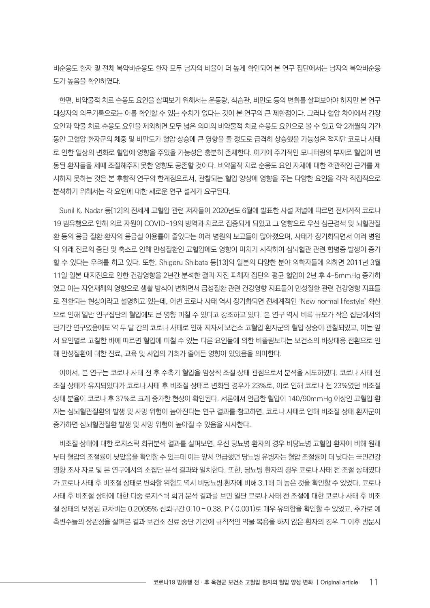비순응도 환자 및 전체 복약비순응도 환자 모두 남자의 비율이 더 높게 확인되어 본 연구 집단에서는 남자의 복약비순응 도가 높음을 확인하였다.

한편, 비약물적 치료 순응도 요인을 살펴보기 위해서는 운동량, 식습관, 비만도 등의 변화를 살펴보아야 하지만 본 연구 대상자의 의무기록으로는 이를 확인할 수 있는 수치가 없다는 것이 본 연구의 큰 제한점이다. 그러나 혈압 차이에서 긴장 요인과 약물 치료 순응도 요인을 제외하면 모두 넓은 의미의 비약물적 치료 순응도 요인으로 볼 수 있고 약 2개월의 기간 동안 고혈압 환자군의 체중 및 비만도가 혈압 상승에 큰 영향을 줄 정도로 급격히 상승했을 가능성은 적지만 코로나 사태 로 인한 일상의 변화로 혈압에 영향을 주었을 가능성은 충분히 존재한다. 여기에 주기적인 모니터링의 부재로 혈압이 변 동된 환자들을 제때 조절해주지 못한 영향도 공존할 것이다. 비약물적 치료 순응도 요인 자체에 대한 객관적인 근거를 제 시하지 못하는 것은 본 후향적 연구의 한계점으로서, 관찰되는 혈압 양상에 영향을 주는 다양한 요인을 각각 직접적으로 분석하기 위해서는 각 요인에 대한 새로운 연구 설계가 요구된다.

Sunil K. Nadar 등[12]의 전세계 고혈압 관련 저자들이 2020년도 6월에 발표한 사설 저널에 따르면 전세계적 코로나 19 범유행으로 인해 의료 자원이 COVID-19의 방역과 치료로 집중되게 되었고 그 영향으로 우선 심근경색 및 뇌혈관질 환 등의 응급 질환 환자의 응급실 이용률이 줄었다는 여러 병원의 보고들이 많아졌으며, 사태가 장기화되면서 여러 병원 의 외래 진료의 중단 및 축소로 인해 만성질환인 고혈압에도 영향이 미치기 시작하여 심뇌혈관 관련 합병증 발생이 증가 할 수 있다는 우려를 하고 있다. 또한, Shigeru Shibata 등[13]의 일본의 다양한 분야 의학자들에 의하면 2011년 3월 11일 일본 대지진으로 인한 건강영향을 2년간 분석한 결과 지진 피해자 집단의 평균 혈압이 2년 후 4-5mmHg 증가하 였고 이는 자연재해의 영향으로 생활 방식이 변하면서 급성질환 관련 건강영향 지표들이 만성질환 관련 건강영향 지표들 로 전환되는 현상이라고 설명하고 있는데, 이번 코로나 사태 역시 장기화되면 전세계적인 'New normal lifestyle' 확산 으로 인해 일반 인구집단의 혈압에도 큰 영향 미칠 수 있다고 강조하고 있다. 본 연구 역시 비록 규모가 작은 집단에서의 단기간 연구였음에도 약 두 달 간의 코로나 사태로 인해 지자체 보건소 고혈압 환자군의 혈압 상승이 관찰되었고, 이는 앞 서 요인별로 고찰한 바에 따르면 혈압에 미칠 수 있는 다른 요인들에 의한 비뚤림보다는 보건소의 비상대응 전환으로 인 해 만성질환에 대한 진료, 교육 및 사업의 기회가 줄어든 영향이 있었음을 의미한다.

이어서, 본 연구는 코로나 사태 전 후 수축기 혈압을 임상적 조절 상태 관점으로서 분석을 시도하였다. 코로나 사태 전 조절 상태가 유지되었다가 코로나 사태 후 비조절 상태로 변화된 경우가 23%로, 이로 인해 코로나 전 23%였던 비조절 상태 분율이 코로나 후 37%로 크게 증가한 현상이 확인된다. 서론에서 언급한 혈압이 140/90mmHg 이상인 고혈압 환 자는 심뇌혈관질환의 발생 및 사망 위험이 높아진다는 연구 결과를 참고하면, 코로나 사태로 인해 비조절 상태 환자군이 증가하면 심뇌혈관질환 발생 및 사망 위험이 높아질 수 있음을 시사한다.

비조절 상태에 대한 로지스틱 회귀분석 결과를 살펴보면, 우선 당뇨병 환자의 경우 비당뇨병 고혈압 환자에 비해 원래 부터 혈압의 조절률이 낮았음을 확인할 수 있는데 이는 앞서 언급했던 당뇨병 유병자는 혈압 조절률이 더 낮다는 국민건강 영향 조사 자료 및 본 연구에서의 소집단 분석 결과와 일치한다. 또한, 당뇨병 환자의 경우 코로나 사태 전 조절 상태였다 가 코로나 사태 후 비조절 상태로 변화할 위험도 역시 비당뇨병 환자에 비해 3.1배 더 높은 것을 확인할 수 있었다. 코로나 사태 후 비조절 상태에 대한 다중 로지스틱 회귀 분석 결과를 보면 일단 코로나 사태 전 조절에 대한 코로나 사태 후 비조 절 상태의 보정된 교차비는 0.20(95% 신뢰구간 0.10 – 0.38, P < 0.001)로 매우 유의함을 확인할 수 있었고, 추가로 예 측변수들의 상관성을 살펴본 결과 보건소 진료 중단 기간에 규칙적인 약물 복용을 하지 않은 환자의 경우 그 이후 방문시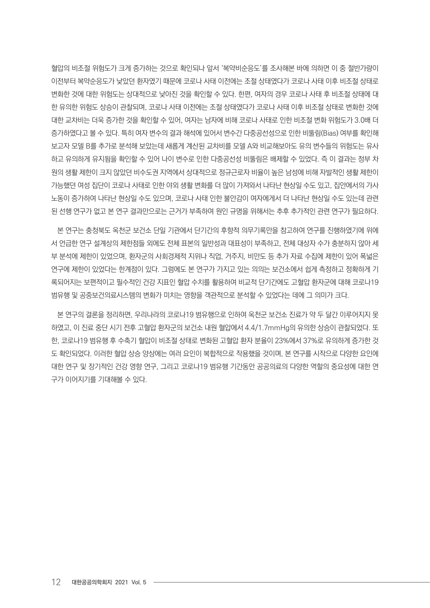혈압의 비조절 위험도가 크게 증가하는 것으로 확인되나 앞서 '복약비순응도'를 조사해본 바에 의하면 이 중 절반가량이 이전부터 복약순응도가 낮았던 환자였기 때문에 코로나 사태 이전에는 조절 상태였다가 코로나 사태 이후 비조절 상태로 변화한 것에 대한 위험도는 상대적으로 낮아진 것을 확인할 수 있다. 한편, 여자의 경우 코로나 사태 후 비조절 상태에 대 한 유의한 위험도 상승이 관찰되며, 코로나 사태 이전에는 조절 상태였다가 코로나 사태 이후 비조절 상태로 변화한 것에 대한 교차비는 더욱 증가한 것을 확인할 수 있어, 여자는 남자에 비해 코로나 사태로 인한 비조절 변화 위험도가 3.0배 더 증가하였다고 볼 수 있다. 특히 여자 변수의 결과 해석에 있어서 변수간 다중공선성으로 인한 비뚤림(Bias) 여부를 확인해 보고자 모델 B를 추가로 분석해 보았는데 새롭게 계산된 교차비를 모델 A와 비교해보아도 유의 변수들의 위험도는 유사 하고 유의하게 유지됨을 확인할 수 있어 나이 변수로 인한 다중공선성 비뚤림은 배제할 수 있었다. 즉 이 결과는 정부 차 원의 생활 제한이 크지 않았던 비수도권 지역에서 상대적으로 정규근로자 비율이 높은 남성에 비해 자발적인 생활 제한이 가능했던 여성 집단이 코로나 사태로 인한 야외 생활 변화를 더 많이 가져와서 나타난 현상일 수도 있고, 집안에서의 가사 노동이 증가하여 나타난 현상일 수도 있으며, 코로나 사태 인한 불안감이 여자에게서 더 나타난 현상일 수도 있는데 관련 된 선행 연구가 없고 본 연구 결과만으로는 근거가 부족하여 원인 규명을 위해서는 추후 추가적인 관련 연구가 필요하다.

본 연구는 충청북도 옥천군 보건소 단일 기관에서 단기간의 후향적 의무기록만을 참고하여 연구를 진행하였기에 위에 서 언급한 연구 설계상의 제한점들 외에도 전체 표본의 일반성과 대표성이 부족하고, 전체 대상자 수가 충분하지 않아 세 부 분석에 제한이 있었으며, 환자군의 사회경제적 지위나 직업, 거주지, 비만도 등 추가 자료 수집에 제한이 있어 폭넓은 연구에 제한이 있었다는 한계점이 있다. 그럼에도 본 연구가 가지고 있는 의의는 보건소에서 쉽게 측정하고 정확하게 기 록되어지는 보편적이고 필수적인 건강 지표인 혈압 수치를 활용하여 비교적 단기간에도 고혈압 환자군에 대해 코로나19 범유행 및 공중보건의료시스템의 변화가 미치는 영향을 객관적으로 분석할 수 있었다는 데에 그 의미가 크다.

본 연구의 결론을 정리하면, 우리나라의 코로나19 범유행으로 인하여 옥천군 보건소 진료가 약 두 달간 이루어지지 못 하였고, 이 진료 중단 시기 전후 고혈압 환자군의 보건소 내원 혈압에서 4.4/1.7mmHg의 유의한 상승이 관찰되었다. 또 한, 코로나19 범유행 후 수축기 혈압이 비조절 상태로 변화된 고혈압 환자 분율이 23%에서 37%로 유의하게 증가한 것 도 확인되었다. 이러한 혈압 상승 양상에는 여러 요인이 복합적으로 작용했을 것이며, 본 연구를 시작으로 다양한 요인에 대한 연구 및 장기적인 건강 영향 연구, 그리고 코로나19 범유행 기간동안 공공의료의 다양한 역할의 중요성에 대한 연 구가 이어지기를 기대해볼 수 있다.